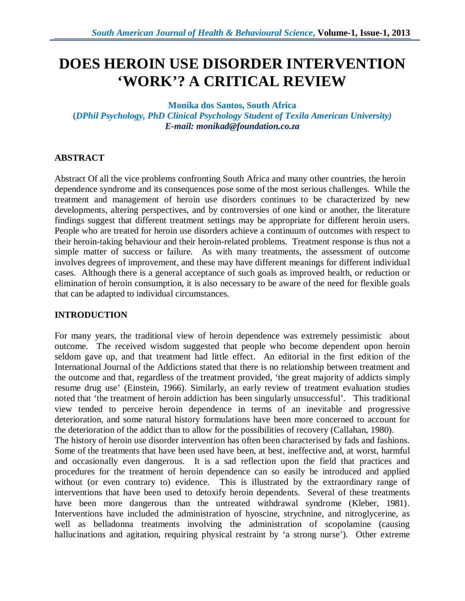# **DOES HEROIN USE DISORDER INTERVENTION 'WORK'? A CRITICAL REVIEW**

**Monika dos Santos, South Africa (***DPhil Psychology, PhD Clinical Psychology Student of Texila American University) E-mail: monikad@foundation.co.za*

## **ABSTRACT**

Abstract Of all the vice problems confronting South Africa and many other countries, the heroin dependence syndrome and its consequences pose some of the most serious challenges. While the treatment and management of heroin use disorders continues to be characterized by new developments, altering perspectives, and by controversies of one kind or another, the literature findings suggest that different treatment settings may be appropriate for different heroin users. People who are treated for heroin use disorders achieve a continuum of outcomes with respect to their heroin-taking behaviour and their heroin-related problems. Treatment response is thus not a simple matter of success or failure. As with many treatments, the assessment of outcome involves degrees of improvement, and these may have different meanings for different individual cases. Although there is a general acceptance of such goals as improved health, or reduction or elimination of heroin consumption, it is also necessary to be aware of the need for flexible goals that can be adapted to individual circumstances.

## **INTRODUCTION**

For many years, the traditional view of heroin dependence was extremely pessimistic about outcome. The received wisdom suggested that people who become dependent upon heroin seldom gave up, and that treatment had little effect. An editorial in the first edition of the International Journal of the Addictions stated that there is no relationship between treatment and the outcome and that, regardless of the treatment provided, 'the great majority of addicts simply resume drug use' (Einstein, 1966). Similarly, an early review of treatment evaluation studies noted that 'the treatment of heroin addiction has been singularly unsuccessful'. This traditional view tended to perceive heroin dependence in terms of an inevitable and progressive deterioration, and some natural history formulations have been more concerned to account for the deterioration of the addict than to allow for the possibilities of recovery (Callahan, 1980).

The history of heroin use disorder intervention has often been characterised by fads and fashions. Some of the treatments that have been used have been, at best, ineffective and, at worst, harmful and occasionally even dangerous. It is a sad reflection upon the field that practices and procedures for the treatment of heroin dependence can so easily be introduced and applied without (or even contrary to) evidence. This is illustrated by the extraordinary range of interventions that have been used to detoxify heroin dependents. Several of these treatments have been more dangerous than the untreated withdrawal syndrome (Kleber, 1981). Interventions have included the administration of hyoscine, strychnine, and nitroglycerine, as well as belladonna treatments involving the administration of scopolamine (causing hallucinations and agitation, requiring physical restraint by 'a strong nurse'). Other extreme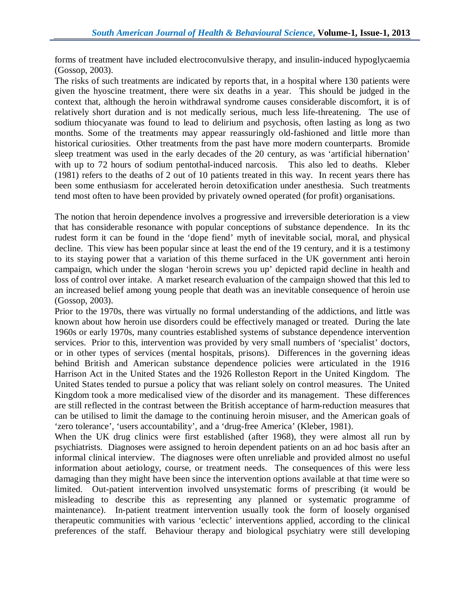forms of treatment have included electroconvulsive therapy, and insulin-induced hypoglycaemia (Gossop, 2003).

The risks of such treatments are indicated by reports that, in a hospital where 130 patients were given the hyoscine treatment, there were six deaths in a year. This should be judged in the context that, although the heroin withdrawal syndrome causes considerable discomfort, it is of relatively short duration and is not medically serious, much less life-threatening. The use of sodium thiocyanate was found to lead to delirium and psychosis, often lasting as long as two months. Some of the treatments may appear reassuringly old-fashioned and little more than historical curiosities. Other treatments from the past have more modern counterparts. Bromide sleep treatment was used in the early decades of the 20 century, as was 'artificial hibernation' with up to 72 hours of sodium pentothal-induced narcosis. This also led to deaths. Kleber (1981) refers to the deaths of 2 out of 10 patients treated in this way. In recent years there has been some enthusiasm for accelerated heroin detoxification under anesthesia. Such treatments tend most often to have been provided by privately owned operated (for profit) organisations.

The notion that heroin dependence involves a progressive and irreversible deterioration is a view that has considerable resonance with popular conceptions of substance dependence. In its thc rudest form it can be found in the 'dope fiend' myth of inevitable social, moral, and physical decline. This view has been popular since at least the end of the 19 century, and it is a testimony to its staying power that a variation of this theme surfaced in the UK government anti heroin campaign, which under the slogan 'heroin screws you up' depicted rapid decline in health and loss of control over intake. A market research evaluation of the campaign showed that this led to an increased belief among young people that death was an inevitable consequence of heroin use (Gossop, 2003).

Prior to the 1970s, there was virtually no formal understanding of the addictions, and little was known about how heroin use disorders could be effectively managed or treated. During the late 1960s or early 1970s, many countries established systems of substance dependence intervention services. Prior to this, intervention was provided by very small numbers of 'specialist' doctors, or in other types of services (mental hospitals, prisons). Differences in the governing ideas behind British and American substance dependence policies were articulated in the 1916 Harrison Act in the United States and the 1926 Rolleston Report in the United Kingdom. The United States tended to pursue a policy that was reliant solely on control measures. The United Kingdom took a more medicalised view of the disorder and its management. These differences are still reflected in the contrast between the British acceptance of harm-reduction measures that can be utilised to limit the damage to the continuing heroin misuser, and the American goals of 'zero tolerance', 'users accountability', and a 'drug-free America' (Kleber, 1981).

When the UK drug clinics were first established (after 1968), they were almost all run by psychiatrists. Diagnoses were assigned to heroin dependent patients on an ad hoc basis after an informal clinical interview. The diagnoses were often unreliable and provided almost no useful information about aetiology, course, or treatment needs. The consequences of this were less damaging than they might have been since the intervention options available at that time were so limited. Out-patient intervention involved unsystematic forms of prescribing (it would be misleading to describe this as representing any planned or systematic programme of maintenance). In-patient treatment intervention usually took the form of loosely organised therapeutic communities with various 'eclectic' interventions applied, according to the clinical preferences of the staff. Behaviour therapy and biological psychiatry were still developing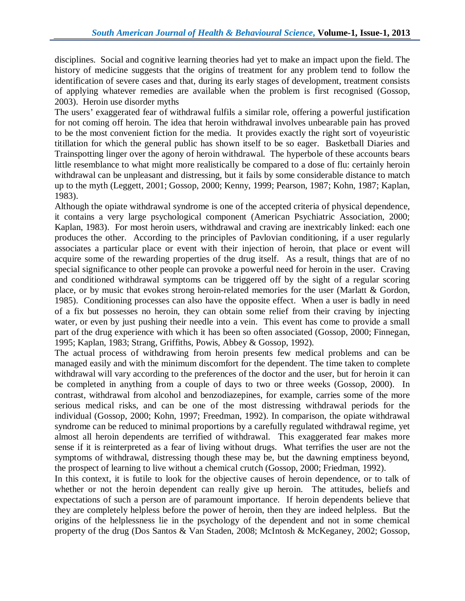disciplines. Social and cognitive learning theories had yet to make an impact upon the field. The history of medicine suggests that the origins of treatment for any problem tend to follow the identification of severe cases and that, during its early stages of development, treatment consists of applying whatever remedies are available when the problem is first recognised (Gossop, 2003). Heroin use disorder myths

The users' exaggerated fear of withdrawal fulfils a similar role, offering a powerful justification for not coming off heroin. The idea that heroin withdrawal involves unbearable pain has proved to be the most convenient fiction for the media. It provides exactly the right sort of voyeuristic titillation for which the general public has shown itself to be so eager. Basketball Diaries and Trainspotting linger over the agony of heroin withdrawal. The hyperbole of these accounts bears little resemblance to what might more realistically be compared to a dose of flu: certainly heroin withdrawal can be unpleasant and distressing, but it fails by some considerable distance to match up to the myth (Leggett, 2001; Gossop, 2000; Kenny, 1999; Pearson, 1987; Kohn, 1987; Kaplan, 1983).

Although the opiate withdrawal syndrome is one of the accepted criteria of physical dependence, it contains a very large psychological component (American Psychiatric Association, 2000; Kaplan, 1983). For most heroin users, withdrawal and craving are inextricably linked: each one produces the other. According to the principles of Pavlovian conditioning, if a user regularly associates a particular place or event with their injection of heroin, that place or event will acquire some of the rewarding properties of the drug itself. As a result, things that are of no special significance to other people can provoke a powerful need for heroin in the user. Craving and conditioned withdrawal symptoms can be triggered off by the sight of a regular scoring place, or by music that evokes strong heroin-related memories for the user (Marlatt & Gordon, 1985). Conditioning processes can also have the opposite effect. When a user is badly in need of a fix but possesses no heroin, they can obtain some relief from their craving by injecting water, or even by just pushing their needle into a vein. This event has come to provide a small part of the drug experience with which it has been so often associated (Gossop, 2000; Finnegan, 1995; Kaplan, 1983; Strang, Griffiths, Powis, Abbey & Gossop, 1992).

The actual process of withdrawing from heroin presents few medical problems and can be managed easily and with the minimum discomfort for the dependent. The time taken to complete withdrawal will vary according to the preferences of the doctor and the user, but for heroin it can be completed in anything from a couple of days to two or three weeks (Gossop, 2000). In contrast, withdrawal from alcohol and benzodiazepines, for example, carries some of the more serious medical risks, and can be one of the most distressing withdrawal periods for the individual (Gossop, 2000; Kohn, 1997; Freedman, 1992). In comparison, the opiate withdrawal syndrome can be reduced to minimal proportions by a carefully regulated withdrawal regime, yet almost all heroin dependents are terrified of withdrawal. This exaggerated fear makes more sense if it is reinterpreted as a fear of living without drugs. What terrifies the user are not the symptoms of withdrawal, distressing though these may be, but the dawning emptiness beyond, the prospect of learning to live without a chemical crutch (Gossop, 2000; Friedman, 1992).

In this context, it is futile to look for the objective causes of heroin dependence, or to talk of whether or not the heroin dependent can really give up heroin. The attitudes, beliefs and expectations of such a person are of paramount importance. If heroin dependents believe that they are completely helpless before the power of heroin, then they are indeed helpless. But the origins of the helplessness lie in the psychology of the dependent and not in some chemical property of the drug (Dos Santos & Van Staden, 2008; McIntosh & McKeganey, 2002; Gossop,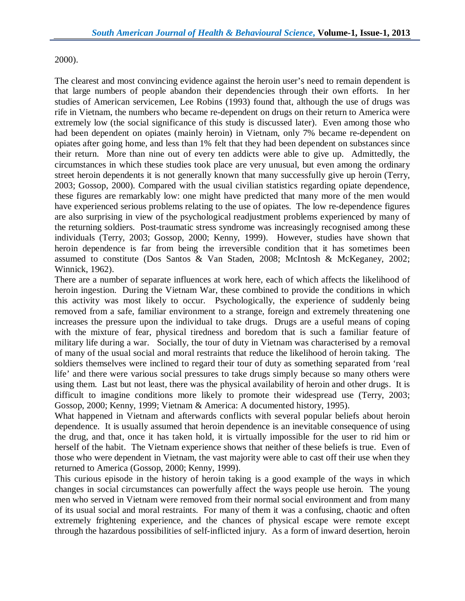#### 2000).

The clearest and most convincing evidence against the heroin user's need to remain dependent is that large numbers of people abandon their dependencies through their own efforts. In her studies of American servicemen, Lee Robins (1993) found that, although the use of drugs was rife in Vietnam, the numbers who became re-dependent on drugs on their return to America were extremely low (the social significance of this study is discussed later). Even among those who had been dependent on opiates (mainly heroin) in Vietnam, only 7% became re-dependent on opiates after going home, and less than 1% felt that they had been dependent on substances since their return. More than nine out of every ten addicts were able to give up. Admittedly, the circumstances in which these studies took place are very unusual, but even among the ordinary street heroin dependents it is not generally known that many successfully give up heroin (Terry, 2003; Gossop, 2000). Compared with the usual civilian statistics regarding opiate dependence, these figures are remarkably low: one might have predicted that many more of the men would have experienced serious problems relating to the use of opiates. The low re-dependence figures are also surprising in view of the psychological readjustment problems experienced by many of the returning soldiers. Post-traumatic stress syndrome was increasingly recognised among these individuals (Terry, 2003; Gossop, 2000; Kenny, 1999). However, studies have shown that heroin dependence is far from being the irreversible condition that it has sometimes been assumed to constitute (Dos Santos & Van Staden, 2008; McIntosh & McKeganey, 2002; Winnick, 1962).

There are a number of separate influences at work here, each of which affects the likelihood of heroin ingestion. During the Vietnam War, these combined to provide the conditions in which this activity was most likely to occur. Psychologically, the experience of suddenly being removed from a safe, familiar environment to a strange, foreign and extremely threatening one increases the pressure upon the individual to take drugs. Drugs are a useful means of coping with the mixture of fear, physical tiredness and boredom that is such a familiar feature of military life during a war. Socially, the tour of duty in Vietnam was characterised by a removal of many of the usual social and moral restraints that reduce the likelihood of heroin taking. The soldiers themselves were inclined to regard their tour of duty as something separated from 'real life' and there were various social pressures to take drugs simply because so many others were using them. Last but not least, there was the physical availability of heroin and other drugs. It is difficult to imagine conditions more likely to promote their widespread use (Terry, 2003; Gossop, 2000; Kenny, 1999; Vietnam & America: A documented history, 1995).

What happened in Vietnam and afterwards conflicts with several popular beliefs about heroin dependence. It is usually assumed that heroin dependence is an inevitable consequence of using the drug, and that, once it has taken hold, it is virtually impossible for the user to rid him or herself of the habit. The Vietnam experience shows that neither of these beliefs is true. Even of those who were dependent in Vietnam, the vast majority were able to cast off their use when they returned to America (Gossop, 2000; Kenny, 1999).

This curious episode in the history of heroin taking is a good example of the ways in which changes in social circumstances can powerfully affect the ways people use heroin. The young men who served in Vietnam were removed from their normal social environment and from many of its usual social and moral restraints. For many of them it was a confusing, chaotic and often extremely frightening experience, and the chances of physical escape were remote except through the hazardous possibilities of self-inflicted injury. As a form of inward desertion, heroin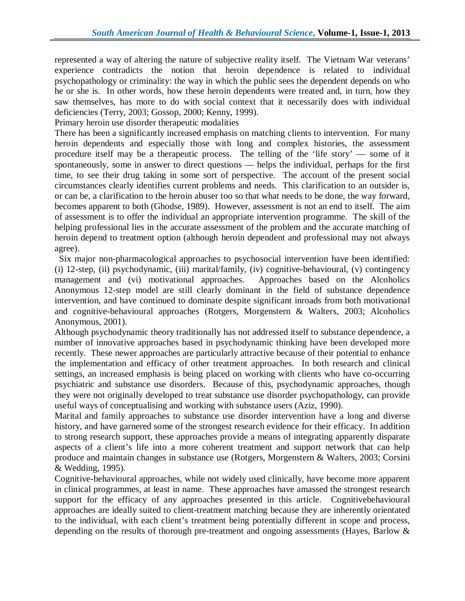represented a way of altering the nature of subjective reality itself. The Vietnam War veterans' experience contradicts the notion that heroin dependence is related to individual psychopathology or criminality: the way in which the public sees the dependent depends on who he or she is. In other words, how these heroin dependents were treated and, in turn, how they saw themselves, has more to do with social context that it necessarily does with individual deficiencies (Terry, 2003; Gossop, 2000; Kenny, 1999).

Primary heroin use disorder therapeutic modalities

There has been a significantly increased emphasis on matching clients to intervention. For many heroin dependents and especially those with long and complex histories, the assessment procedure itself may be a therapeutic process. The telling of the 'life story' — some of it spontaneously, some in answer to direct questions — helps the individual, perhaps for the first time, to see their drug taking in some sort of perspective. The account of the present social circumstances clearly identifies current problems and needs. This clarification to an outsider is, or can be, a clarification to the heroin abuser too so that what needs to be done, the way forward, becomes apparent to both (Ghodse, 1989). However, assessment is not an end to itself. The aim of assessment is to offer the individual an appropriate intervention programme. The skill of the helping professional lies in the accurate assessment of the problem and the accurate matching of heroin depend to treatment option (although heroin dependent and professional may not always agree).

 Six major non-pharmacological approaches to psychosocial intervention have been identified: (i) 12-step, (ii) psychodynamic, (iii) marital/family, (iv) cognitive-behavioural, (v) contingency management and (vi) motivational approaches. Approaches based on the Alcoholics Anonymous 12-step model are still clearly dominant in the field of substance dependence intervention, and have continued to dominate despite significant inroads from both motivational and cognitive-behavioural approaches (Rotgers, Morgenstern & Walters, 2003; Alcoholics Anonymous, 2001).

Although psychodynamic theory traditionally has not addressed itself to substance dependence, a number of innovative approaches based in psychodynamic thinking have been developed more recently. These newer approaches are particularly attractive because of their potential to enhance the implementation and efficacy of other treatment approaches. In both research and clinical settings, an increased emphasis is being placed on working with clients who have co-occurring psychiatric and substance use disorders. Because of this, psychodynamic approaches, though they were not originally developed to treat substance use disorder psychopathology, can provide useful ways of conceptualising and working with substance users (Aziz, 1990).

Marital and family approaches to substance use disorder intervention have a long and diverse history, and have garnered some of the strongest research evidence for their efficacy. In addition to strong research support, these approaches provide a means of integrating apparently disparate aspects of a client's life into a more coherent treatment and support network that can help produce and maintain changes in substance use (Rotgers, Morgenstern & Walters, 2003; Corsini & Wedding, 1995).

Cognitive-behavioural approaches, while not widely used clinically, have become more apparent in clinical programmes, at least in name. These approaches have amassed the strongest research support for the efficacy of any approaches presented in this article. Cognitivebehavioural approaches are ideally suited to client-treatment matching because they are inherently orientated to the individual, with each client's treatment being potentially different in scope and process, depending on the results of thorough pre-treatment and ongoing assessments (Hayes, Barlow &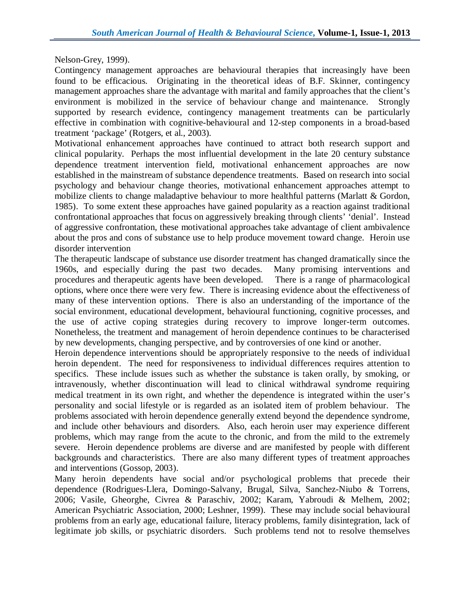Nelson-Grey, 1999).

Contingency management approaches are behavioural therapies that increasingly have been found to be efficacious. Originating in the theoretical ideas of B.F. Skinner, contingency management approaches share the advantage with marital and family approaches that the client's environment is mobilized in the service of behaviour change and maintenance. Strongly supported by research evidence, contingency management treatments can be particularly effective in combination with cognitive-behavioural and 12-step components in a broad-based treatment 'package' (Rotgers, et al., 2003).

Motivational enhancement approaches have continued to attract both research support and clinical popularity. Perhaps the most influential development in the late 20 century substance dependence treatment intervention field, motivational enhancement approaches are now established in the mainstream of substance dependence treatments. Based on research into social psychology and behaviour change theories, motivational enhancement approaches attempt to mobilize clients to change maladaptive behaviour to more healthful patterns (Marlatt & Gordon, 1985). To some extent these approaches have gained popularity as a reaction against traditional confrontational approaches that focus on aggressively breaking through clients' 'denial'. Instead of aggressive confrontation, these motivational approaches take advantage of client ambivalence about the pros and cons of substance use to help produce movement toward change. Heroin use disorder intervention

The therapeutic landscape of substance use disorder treatment has changed dramatically since the 1960s, and especially during the past two decades. Many promising interventions and procedures and therapeutic agents have been developed. There is a range of pharmacological options, where once there were very few. There is increasing evidence about the effectiveness of many of these intervention options. There is also an understanding of the importance of the social environment, educational development, behavioural functioning, cognitive processes, and the use of active coping strategies during recovery to improve longer-term outcomes. Nonetheless, the treatment and management of heroin dependence continues to be characterised by new developments, changing perspective, and by controversies of one kind or another.

Heroin dependence interventions should be appropriately responsive to the needs of individual heroin dependent. The need for responsiveness to individual differences requires attention to specifics. These include issues such as whether the substance is taken orally, by smoking, or intravenously, whether discontinuation will lead to clinical withdrawal syndrome requiring medical treatment in its own right, and whether the dependence is integrated within the user's personality and social lifestyle or is regarded as an isolated item of problem behaviour. The problems associated with heroin dependence generally extend beyond the dependence syndrome, and include other behaviours and disorders. Also, each heroin user may experience different problems, which may range from the acute to the chronic, and from the mild to the extremely severe. Heroin dependence problems are diverse and are manifested by people with different backgrounds and characteristics. There are also many different types of treatment approaches and interventions (Gossop, 2003).

Many heroin dependents have social and/or psychological problems that precede their dependence (Rodrigues-Llera, Domingo-Salvany, Brugal, Silva, Sanchez-Niubo & Torrens, 2006; Vasile, Gheorghe, Civrea & Paraschiv, 2002; Karam, Yabroudi & Melhem, 2002; American Psychiatric Association, 2000; Leshner, 1999). These may include social behavioural problems from an early age, educational failure, literacy problems, family disintegration, lack of legitimate job skills, or psychiatric disorders. Such problems tend not to resolve themselves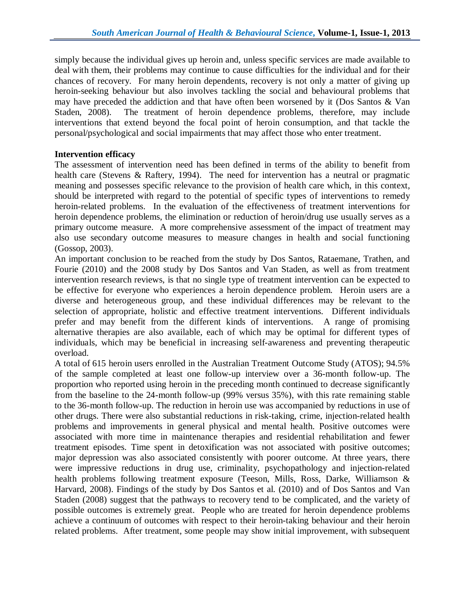simply because the individual gives up heroin and, unless specific services are made available to deal with them, their problems may continue to cause difficulties for the individual and for their chances of recovery. For many heroin dependents, recovery is not only a matter of giving up heroin-seeking behaviour but also involves tackling the social and behavioural problems that may have preceded the addiction and that have often been worsened by it (Dos Santos & Van Staden, 2008). The treatment of heroin dependence problems, therefore, may include interventions that extend beyond the focal point of heroin consumption, and that tackle the personal/psychological and social impairments that may affect those who enter treatment.

## **Intervention efficacy**

The assessment of intervention need has been defined in terms of the ability to benefit from health care (Stevens & Raftery, 1994). The need for intervention has a neutral or pragmatic meaning and possesses specific relevance to the provision of health care which, in this context, should be interpreted with regard to the potential of specific types of interventions to remedy heroin-related problems. In the evaluation of the effectiveness of treatment interventions for heroin dependence problems, the elimination or reduction of heroin/drug use usually serves as a primary outcome measure. A more comprehensive assessment of the impact of treatment may also use secondary outcome measures to measure changes in health and social functioning (Gossop, 2003).

An important conclusion to be reached from the study by Dos Santos, Rataemane, Trathen, and Fourie (2010) and the 2008 study by Dos Santos and Van Staden, as well as from treatment intervention research reviews, is that no single type of treatment intervention can be expected to be effective for everyone who experiences a heroin dependence problem. Heroin users are a diverse and heterogeneous group, and these individual differences may be relevant to the selection of appropriate, holistic and effective treatment interventions. Different individuals prefer and may benefit from the different kinds of interventions. A range of promising alternative therapies are also available, each of which may be optimal for different types of individuals, which may be beneficial in increasing self-awareness and preventing therapeutic overload.

A total of 615 heroin users enrolled in the Australian Treatment Outcome Study (ATOS); 94.5% of the sample completed at least one follow-up interview over a 36-month follow-up. The proportion who reported using heroin in the preceding month continued to decrease significantly from the baseline to the 24-month follow-up (99% versus 35%), with this rate remaining stable to the 36-month follow-up. The reduction in heroin use was accompanied by reductions in use of other drugs. There were also substantial reductions in risk-taking, crime, injection-related health problems and improvements in general physical and mental health. Positive outcomes were associated with more time in maintenance therapies and residential rehabilitation and fewer treatment episodes. Time spent in detoxification was not associated with positive outcomes; major depression was also associated consistently with poorer outcome. At three years, there were impressive reductions in drug use, criminality, psychopathology and injection-related health problems following treatment exposure (Teeson, Mills, Ross, Darke, Williamson & Harvard, 2008). Findings of the study by Dos Santos et al. (2010) and of Dos Santos and Van Staden (2008) suggest that the pathways to recovery tend to be complicated, and the variety of possible outcomes is extremely great. People who are treated for heroin dependence problems achieve a continuum of outcomes with respect to their heroin-taking behaviour and their heroin related problems. After treatment, some people may show initial improvement, with subsequent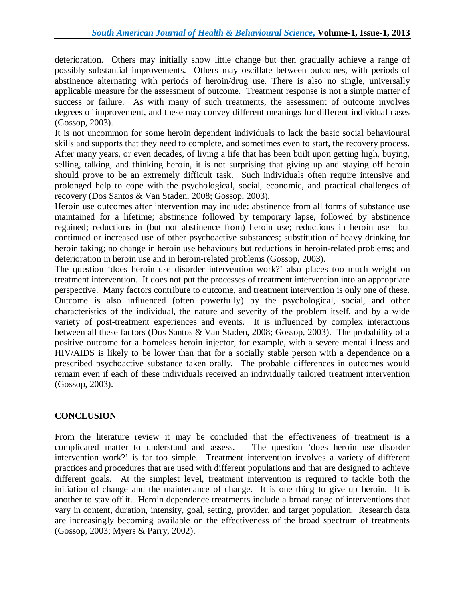deterioration. Others may initially show little change but then gradually achieve a range of possibly substantial improvements. Others may oscillate between outcomes, with periods of abstinence alternating with periods of heroin/drug use. There is also no single, universally applicable measure for the assessment of outcome. Treatment response is not a simple matter of success or failure. As with many of such treatments, the assessment of outcome involves degrees of improvement, and these may convey different meanings for different individual cases (Gossop, 2003).

It is not uncommon for some heroin dependent individuals to lack the basic social behavioural skills and supports that they need to complete, and sometimes even to start, the recovery process. After many years, or even decades, of living a life that has been built upon getting high, buying, selling, talking, and thinking heroin, it is not surprising that giving up and staying off heroin should prove to be an extremely difficult task. Such individuals often require intensive and prolonged help to cope with the psychological, social, economic, and practical challenges of recovery (Dos Santos & Van Staden, 2008; Gossop, 2003).

Heroin use outcomes after intervention may include: abstinence from all forms of substance use maintained for a lifetime; abstinence followed by temporary lapse, followed by abstinence regained; reductions in (but not abstinence from) heroin use; reductions in heroin use but continued or increased use of other psychoactive substances; substitution of heavy drinking for heroin taking; no change in heroin use behaviours but reductions in heroin-related problems; and deterioration in heroin use and in heroin-related problems (Gossop, 2003).

The question 'does heroin use disorder intervention work?' also places too much weight on treatment intervention. It does not put the processes of treatment intervention into an appropriate perspective. Many factors contribute to outcome, and treatment intervention is only one of these. Outcome is also influenced (often powerfully) by the psychological, social, and other characteristics of the individual, the nature and severity of the problem itself, and by a wide variety of post-treatment experiences and events. It is influenced by complex interactions between all these factors (Dos Santos & Van Staden, 2008; Gossop, 2003). The probability of a positive outcome for a homeless heroin injector, for example, with a severe mental illness and HIV/AIDS is likely to be lower than that for a socially stable person with a dependence on a prescribed psychoactive substance taken orally. The probable differences in outcomes would remain even if each of these individuals received an individually tailored treatment intervention (Gossop, 2003).

# **CONCLUSION**

From the literature review it may be concluded that the effectiveness of treatment is a complicated matter to understand and assess. The question 'does heroin use disorder intervention work?' is far too simple. Treatment intervention involves a variety of different practices and procedures that are used with different populations and that are designed to achieve different goals. At the simplest level, treatment intervention is required to tackle both the initiation of change and the maintenance of change. It is one thing to give up heroin. It is another to stay off it. Heroin dependence treatments include a broad range of interventions that vary in content, duration, intensity, goal, setting, provider, and target population. Research data are increasingly becoming available on the effectiveness of the broad spectrum of treatments (Gossop, 2003; Myers & Parry, 2002).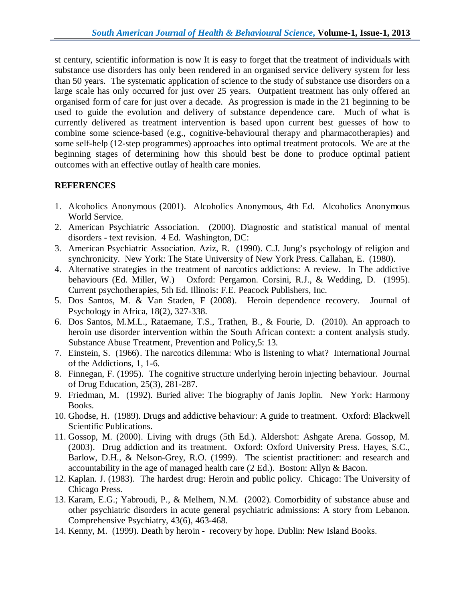st century, scientific information is now It is easy to forget that the treatment of individuals with substance use disorders has only been rendered in an organised service delivery system for less than 50 years. The systematic application of science to the study of substance use disorders on a large scale has only occurred for just over 25 years. Outpatient treatment has only offered an organised form of care for just over a decade. As progression is made in the 21 beginning to be used to guide the evolution and delivery of substance dependence care. Much of what is currently delivered as treatment intervention is based upon current best guesses of how to combine some science-based (e.g., cognitive-behavioural therapy and pharmacotherapies) and some self-help (12-step programmes) approaches into optimal treatment protocols. We are at the beginning stages of determining how this should best be done to produce optimal patient outcomes with an effective outlay of health care monies.

## **REFERENCES**

- 1. Alcoholics Anonymous (2001). Alcoholics Anonymous, 4th Ed. Alcoholics Anonymous World Service.
- 2. American Psychiatric Association. (2000). Diagnostic and statistical manual of mental disorders - text revision. 4 Ed. Washington, DC:
- 3. American Psychiatric Association. Aziz, R. (1990). C.J. Jung's psychology of religion and synchronicity. New York: The State University of New York Press. Callahan, E. (1980).
- 4. Alternative strategies in the treatment of narcotics addictions: A review. In The addictive behaviours (Ed. Miller, W.) Oxford: Pergamon. Corsini, R.J., & Wedding, D. (1995). Current psychotherapies, 5th Ed. Illinois: F.E. Peacock Publishers, Inc.
- 5. Dos Santos, M. & Van Staden, F (2008). Heroin dependence recovery. Journal of Psychology in Africa, 18(2), 327-338.
- 6. Dos Santos, M.M.L., Rataemane, T.S., Trathen, B., & Fourie, D. (2010). An approach to heroin use disorder intervention within the South African context: a content analysis study. Substance Abuse Treatment, Prevention and Policy,5: 13.
- 7. Einstein, S. (1966). The narcotics dilemma: Who is listening to what? International Journal of the Addictions, 1, 1-6.
- 8. Finnegan, F. (1995). The cognitive structure underlying heroin injecting behaviour. Journal of Drug Education, 25(3), 281-287.
- 9. Friedman, M. (1992). Buried alive: The biography of Janis Joplin. New York: Harmony Books.
- 10. Ghodse, H. (1989). Drugs and addictive behaviour: A guide to treatment. Oxford: Blackwell Scientific Publications.
- 11. Gossop, M. (2000). Living with drugs (5th Ed.). Aldershot: Ashgate Arena. Gossop, M. (2003). Drug addiction and its treatment. Oxford: Oxford University Press. Hayes, S.C., Barlow, D.H., & Nelson-Grey, R.O. (1999). The scientist practitioner: and research and accountability in the age of managed health care (2 Ed.). Boston: Allyn & Bacon.
- 12. Kaplan. J. (1983). The hardest drug: Heroin and public policy. Chicago: The University of Chicago Press.
- 13. Karam, E.G.; Yabroudi, P., & Melhem, N.M. (2002). Comorbidity of substance abuse and other psychiatric disorders in acute general psychiatric admissions: A story from Lebanon. Comprehensive Psychiatry, 43(6), 463-468.
- 14. Kenny, M. (1999). Death by heroin recovery by hope. Dublin: New Island Books.